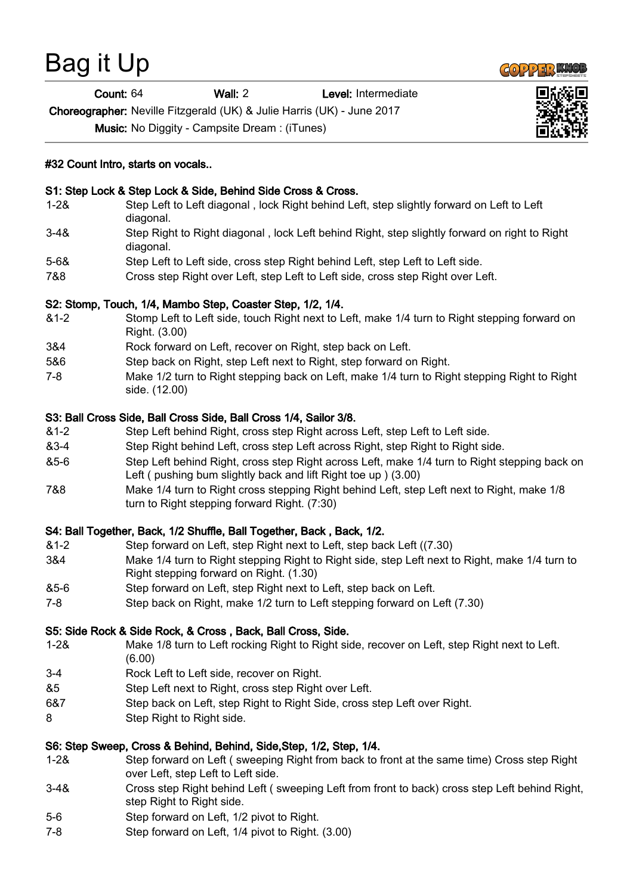# Bag it Up

Count: 64 Wall: 2 Level: Intermediate

Choreographer: Neville Fitzgerald (UK) & Julie Harris (UK) - June 2017

Music: No Diggity - Campsite Dream : (iTunes)

# #32 Count Intro, starts on vocals..

# S1: Step Lock & Step Lock & Side, Behind Side Cross & Cross.

- 1-2& Step Left to Left diagonal , lock Right behind Left, step slightly forward on Left to Left diagonal.
- 3-4& Step Right to Right diagonal , lock Left behind Right, step slightly forward on right to Right diagonal.
- 5-6& Step Left to Left side, cross step Right behind Left, step Left to Left side.
- 7&8 Cross step Right over Left, step Left to Left side, cross step Right over Left.

# S2: Stomp, Touch, 1/4, Mambo Step, Coaster Step, 1/2, 1/4.

- &1-2 Stomp Left to Left side, touch Right next to Left, make 1/4 turn to Right stepping forward on Right. (3.00)
- 3&4 Rock forward on Left, recover on Right, step back on Left.
- 5&6 Step back on Right, step Left next to Right, step forward on Right.
- 7-8 Make 1/2 turn to Right stepping back on Left, make 1/4 turn to Right stepping Right to Right side. (12.00)

# S3: Ball Cross Side, Ball Cross Side, Ball Cross 1/4, Sailor 3/8.

- &1-2 Step Left behind Right, cross step Right across Left, step Left to Left side.
- &3-4 Step Right behind Left, cross step Left across Right, step Right to Right side.
- &5-6 Step Left behind Right, cross step Right across Left, make 1/4 turn to Right stepping back on Left ( pushing bum slightly back and lift Right toe up ) (3.00)
- 7&8 Make 1/4 turn to Right cross stepping Right behind Left, step Left next to Right, make 1/8 turn to Right stepping forward Right. (7:30)

# S4: Ball Together, Back, 1/2 Shuffle, Ball Together, Back , Back, 1/2.

- &1-2 Step forward on Left, step Right next to Left, step back Left ((7.30)
- 3&4 Make 1/4 turn to Right stepping Right to Right side, step Left next to Right, make 1/4 turn to Right stepping forward on Right. (1.30)
- &5-6 Step forward on Left, step Right next to Left, step back on Left.
- 7-8 Step back on Right, make 1/2 turn to Left stepping forward on Left (7.30)

# S5: Side Rock & Side Rock, & Cross , Back, Ball Cross, Side.

- 1-2& Make 1/8 turn to Left rocking Right to Right side, recover on Left, step Right next to Left. (6.00)
- 3-4 Rock Left to Left side, recover on Right.
- &5 Step Left next to Right, cross step Right over Left.
- 6&7 Step back on Left, step Right to Right Side, cross step Left over Right.
- 8 Step Right to Right side.

# S6: Step Sweep, Cross & Behind, Behind, Side,Step, 1/2, Step, 1/4.

- 1-2& Step forward on Left ( sweeping Right from back to front at the same time) Cross step Right over Left, step Left to Left side.
- 3-4& Cross step Right behind Left ( sweeping Left from front to back) cross step Left behind Right, step Right to Right side.
- 5-6 Step forward on Left, 1/2 pivot to Right.
- 7-8 Step forward on Left, 1/4 pivot to Right. (3.00)